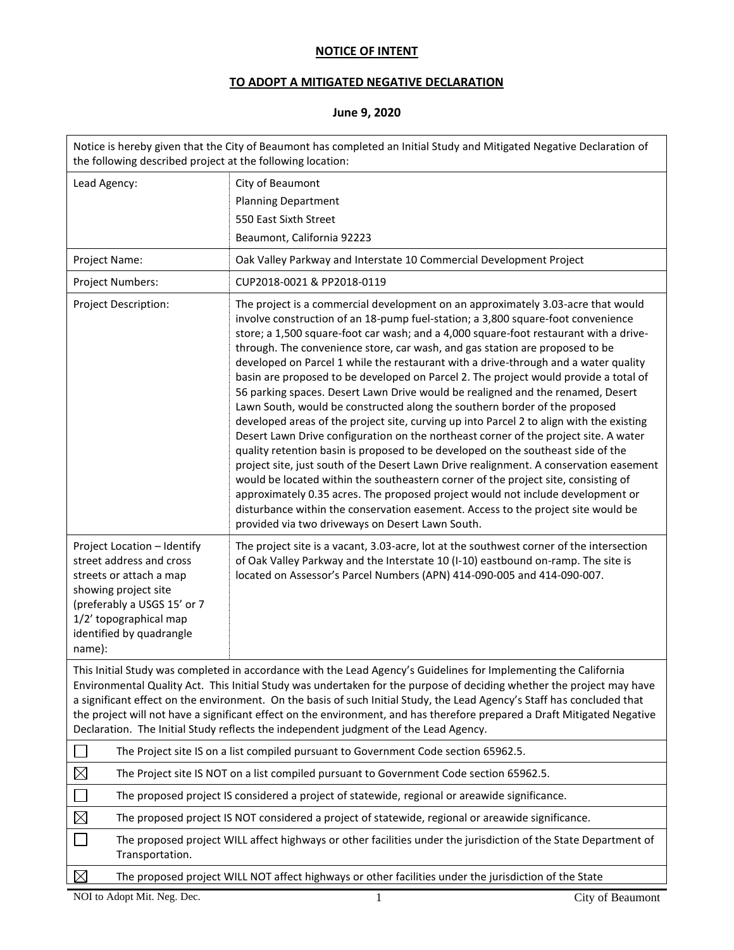## **NOTICE OF INTENT**

## **TO ADOPT A MITIGATED NEGATIVE DECLARATION**

## **June 9, 2020**

| Notice is hereby given that the City of Beaumont has completed an Initial Study and Mitigated Negative Declaration of<br>the following described project at the following location:                                                                                                                                                                                                                                                                                                                                                                                                      |                                                                                                                                                                                                                                                                                                                                                                                                                                                                                                                                                                                                                                                                                                                                                                                                                                                                                                                                                                                                                                                                                                                                                                                                                                                                                                                                                                                   |  |  |  |  |
|------------------------------------------------------------------------------------------------------------------------------------------------------------------------------------------------------------------------------------------------------------------------------------------------------------------------------------------------------------------------------------------------------------------------------------------------------------------------------------------------------------------------------------------------------------------------------------------|-----------------------------------------------------------------------------------------------------------------------------------------------------------------------------------------------------------------------------------------------------------------------------------------------------------------------------------------------------------------------------------------------------------------------------------------------------------------------------------------------------------------------------------------------------------------------------------------------------------------------------------------------------------------------------------------------------------------------------------------------------------------------------------------------------------------------------------------------------------------------------------------------------------------------------------------------------------------------------------------------------------------------------------------------------------------------------------------------------------------------------------------------------------------------------------------------------------------------------------------------------------------------------------------------------------------------------------------------------------------------------------|--|--|--|--|
| Lead Agency:                                                                                                                                                                                                                                                                                                                                                                                                                                                                                                                                                                             | City of Beaumont                                                                                                                                                                                                                                                                                                                                                                                                                                                                                                                                                                                                                                                                                                                                                                                                                                                                                                                                                                                                                                                                                                                                                                                                                                                                                                                                                                  |  |  |  |  |
|                                                                                                                                                                                                                                                                                                                                                                                                                                                                                                                                                                                          | <b>Planning Department</b>                                                                                                                                                                                                                                                                                                                                                                                                                                                                                                                                                                                                                                                                                                                                                                                                                                                                                                                                                                                                                                                                                                                                                                                                                                                                                                                                                        |  |  |  |  |
|                                                                                                                                                                                                                                                                                                                                                                                                                                                                                                                                                                                          | 550 East Sixth Street                                                                                                                                                                                                                                                                                                                                                                                                                                                                                                                                                                                                                                                                                                                                                                                                                                                                                                                                                                                                                                                                                                                                                                                                                                                                                                                                                             |  |  |  |  |
|                                                                                                                                                                                                                                                                                                                                                                                                                                                                                                                                                                                          | Beaumont, California 92223                                                                                                                                                                                                                                                                                                                                                                                                                                                                                                                                                                                                                                                                                                                                                                                                                                                                                                                                                                                                                                                                                                                                                                                                                                                                                                                                                        |  |  |  |  |
| Project Name:                                                                                                                                                                                                                                                                                                                                                                                                                                                                                                                                                                            | Oak Valley Parkway and Interstate 10 Commercial Development Project                                                                                                                                                                                                                                                                                                                                                                                                                                                                                                                                                                                                                                                                                                                                                                                                                                                                                                                                                                                                                                                                                                                                                                                                                                                                                                               |  |  |  |  |
| Project Numbers:                                                                                                                                                                                                                                                                                                                                                                                                                                                                                                                                                                         | CUP2018-0021 & PP2018-0119                                                                                                                                                                                                                                                                                                                                                                                                                                                                                                                                                                                                                                                                                                                                                                                                                                                                                                                                                                                                                                                                                                                                                                                                                                                                                                                                                        |  |  |  |  |
| Project Description:                                                                                                                                                                                                                                                                                                                                                                                                                                                                                                                                                                     | The project is a commercial development on an approximately 3.03-acre that would<br>involve construction of an 18-pump fuel-station; a 3,800 square-foot convenience<br>store; a 1,500 square-foot car wash; and a 4,000 square-foot restaurant with a drive-<br>through. The convenience store, car wash, and gas station are proposed to be<br>developed on Parcel 1 while the restaurant with a drive-through and a water quality<br>basin are proposed to be developed on Parcel 2. The project would provide a total of<br>56 parking spaces. Desert Lawn Drive would be realigned and the renamed, Desert<br>Lawn South, would be constructed along the southern border of the proposed<br>developed areas of the project site, curving up into Parcel 2 to align with the existing<br>Desert Lawn Drive configuration on the northeast corner of the project site. A water<br>quality retention basin is proposed to be developed on the southeast side of the<br>project site, just south of the Desert Lawn Drive realignment. A conservation easement<br>would be located within the southeastern corner of the project site, consisting of<br>approximately 0.35 acres. The proposed project would not include development or<br>disturbance within the conservation easement. Access to the project site would be<br>provided via two driveways on Desert Lawn South. |  |  |  |  |
| Project Location - Identify<br>street address and cross<br>streets or attach a map<br>showing project site<br>(preferably a USGS 15' or 7<br>1/2' topographical map<br>identified by quadrangle<br>name):                                                                                                                                                                                                                                                                                                                                                                                | The project site is a vacant, 3.03-acre, lot at the southwest corner of the intersection<br>of Oak Valley Parkway and the Interstate 10 (I-10) eastbound on-ramp. The site is<br>located on Assessor's Parcel Numbers (APN) 414-090-005 and 414-090-007.                                                                                                                                                                                                                                                                                                                                                                                                                                                                                                                                                                                                                                                                                                                                                                                                                                                                                                                                                                                                                                                                                                                          |  |  |  |  |
| This Initial Study was completed in accordance with the Lead Agency's Guidelines for Implementing the California<br>Environmental Quality Act. This Initial Study was undertaken for the purpose of deciding whether the project may have<br>a significant effect on the environment. On the basis of such Initial Study, the Lead Agency's Staff has concluded that<br>the project will not have a significant effect on the environment, and has therefore prepared a Draft Mitigated Negative<br>Declaration. The Initial Study reflects the independent judgment of the Lead Agency. |                                                                                                                                                                                                                                                                                                                                                                                                                                                                                                                                                                                                                                                                                                                                                                                                                                                                                                                                                                                                                                                                                                                                                                                                                                                                                                                                                                                   |  |  |  |  |
|                                                                                                                                                                                                                                                                                                                                                                                                                                                                                                                                                                                          | The Project site IS on a list compiled pursuant to Government Code section 65962.5.                                                                                                                                                                                                                                                                                                                                                                                                                                                                                                                                                                                                                                                                                                                                                                                                                                                                                                                                                                                                                                                                                                                                                                                                                                                                                               |  |  |  |  |
| $\boxtimes$                                                                                                                                                                                                                                                                                                                                                                                                                                                                                                                                                                              | The Project site IS NOT on a list compiled pursuant to Government Code section 65962.5.                                                                                                                                                                                                                                                                                                                                                                                                                                                                                                                                                                                                                                                                                                                                                                                                                                                                                                                                                                                                                                                                                                                                                                                                                                                                                           |  |  |  |  |
|                                                                                                                                                                                                                                                                                                                                                                                                                                                                                                                                                                                          | The proposed project IS considered a project of statewide, regional or areawide significance.                                                                                                                                                                                                                                                                                                                                                                                                                                                                                                                                                                                                                                                                                                                                                                                                                                                                                                                                                                                                                                                                                                                                                                                                                                                                                     |  |  |  |  |
| $\boxtimes$                                                                                                                                                                                                                                                                                                                                                                                                                                                                                                                                                                              | The proposed project IS NOT considered a project of statewide, regional or areawide significance.                                                                                                                                                                                                                                                                                                                                                                                                                                                                                                                                                                                                                                                                                                                                                                                                                                                                                                                                                                                                                                                                                                                                                                                                                                                                                 |  |  |  |  |
| Transportation.                                                                                                                                                                                                                                                                                                                                                                                                                                                                                                                                                                          | The proposed project WILL affect highways or other facilities under the jurisdiction of the State Department of                                                                                                                                                                                                                                                                                                                                                                                                                                                                                                                                                                                                                                                                                                                                                                                                                                                                                                                                                                                                                                                                                                                                                                                                                                                                   |  |  |  |  |
| $\boxtimes$                                                                                                                                                                                                                                                                                                                                                                                                                                                                                                                                                                              | The proposed project WILL NOT affect highways or other facilities under the jurisdiction of the State                                                                                                                                                                                                                                                                                                                                                                                                                                                                                                                                                                                                                                                                                                                                                                                                                                                                                                                                                                                                                                                                                                                                                                                                                                                                             |  |  |  |  |